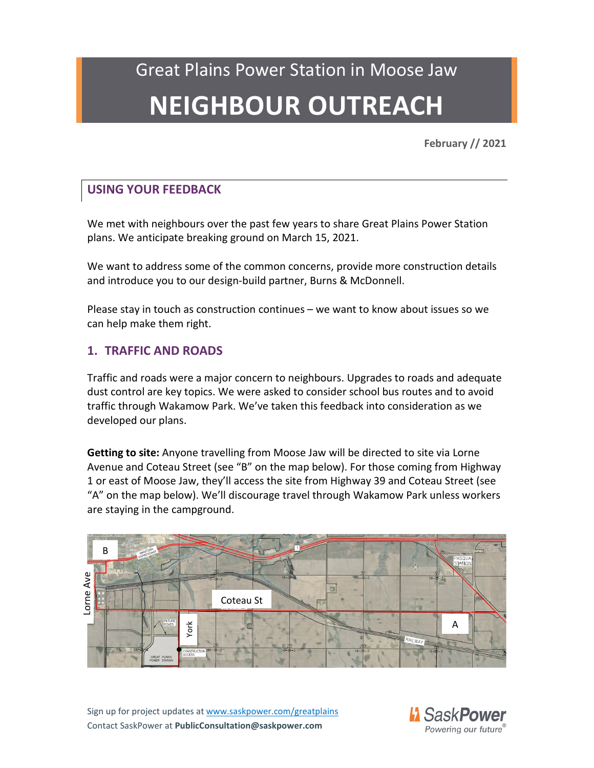**February // 2021**

### **USING YOUR FEEDBACK**

We met with neighbours over the past few years to share Great Plains Power Station plans. We anticipate breaking ground on March 15, 2021.

We want to address some of the common concerns, provide more construction details and introduce you to our design-build partner, Burns & McDonnell.

Please stay in touch as construction continues – we want to know about issues so we can help make them right.

### **1. TRAFFIC AND ROADS**

Traffic and roads were a major concern to neighbours. Upgrades to roads and adequate dust control are key topics. We were asked to consider school bus routes and to avoid traffic through Wakamow Park. We've taken this feedback into consideration as we developed our plans.

**Getting to site:** Anyone travelling from Moose Jaw will be directed to site via Lorne Avenue and Coteau Street (see "B" on the map below). For those coming from Highway 1 or east of Moose Jaw, they'll access the site from Highway 39 and Coteau Street (see "A" on the map below). We'll discourage travel through Wakamow Park unless workers are staying in the campground.



Sign up for project updates a[t www.saskpower.com/greatplains](http://www.saskpower.com/greatplains) Contact SaskPower at **PublicConsultation@saskpower.com**

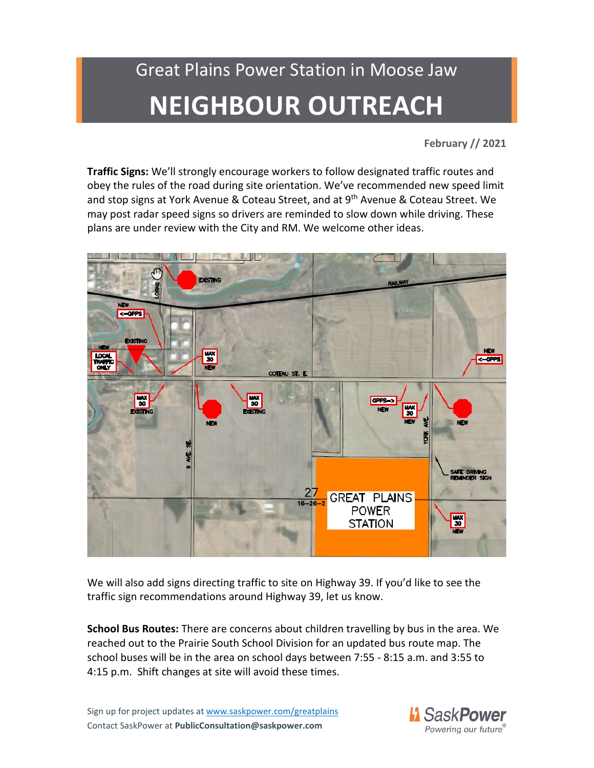**February // 2021**

**Traffic Signs:** We'll strongly encourage workers to follow designated traffic routes and obey the rules of the road during site orientation. We've recommended new speed limit and stop signs at York Avenue & Coteau Street, and at 9<sup>th</sup> Avenue & Coteau Street. We may post radar speed signs so drivers are reminded to slow down while driving. These plans are under review with the City and RM. We welcome other ideas.



We will also add signs directing traffic to site on Highway 39. If you'd like to see the traffic sign recommendations around Highway 39, let us know.

**School Bus Routes:** There are concerns about children travelling by bus in the area. We reached out to the Prairie South School Division for an updated bus route map. The school buses will be in the area on school days between 7:55 - 8:15 a.m. and 3:55 to 4:15 p.m. Shift changes at site will avoid these times.

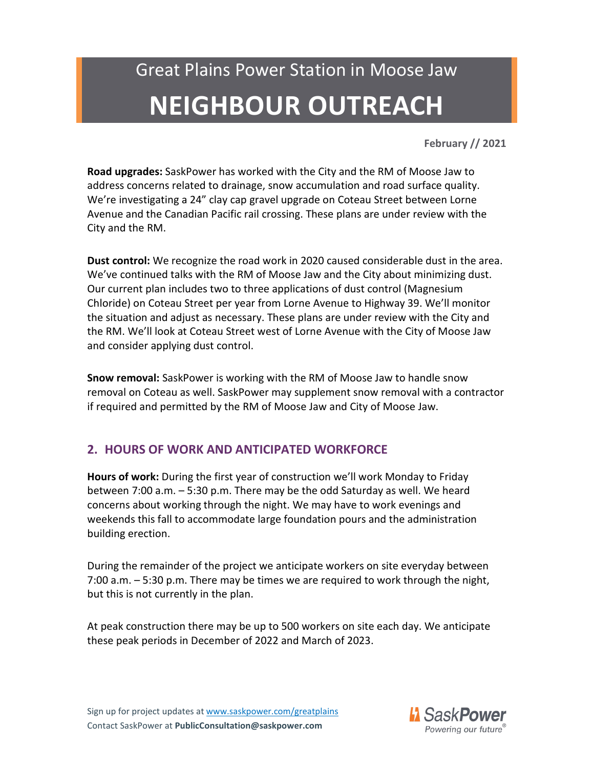**February // 2021**

**Road upgrades:** SaskPower has worked with the City and the RM of Moose Jaw to address concerns related to drainage, snow accumulation and road surface quality. We're investigating a 24" clay cap gravel upgrade on Coteau Street between Lorne Avenue and the Canadian Pacific rail crossing. These plans are under review with the City and the RM.

**Dust control:** We recognize the road work in 2020 caused considerable dust in the area. We've continued talks with the RM of Moose Jaw and the City about minimizing dust. Our current plan includes two to three applications of dust control (Magnesium Chloride) on Coteau Street per year from Lorne Avenue to Highway 39. We'll monitor the situation and adjust as necessary. These plans are under review with the City and the RM. We'll look at Coteau Street west of Lorne Avenue with the City of Moose Jaw and consider applying dust control.

**Snow removal:** SaskPower is working with the RM of Moose Jaw to handle snow removal on Coteau as well. SaskPower may supplement snow removal with a contractor if required and permitted by the RM of Moose Jaw and City of Moose Jaw.

### **2. HOURS OF WORK AND ANTICIPATED WORKFORCE**

**Hours of work:** During the first year of construction we'll work Monday to Friday between 7:00 a.m. – 5:30 p.m. There may be the odd Saturday as well. We heard concerns about working through the night. We may have to work evenings and weekends this fall to accommodate large foundation pours and the administration building erection.

During the remainder of the project we anticipate workers on site everyday between 7:00 a.m. – 5:30 p.m. There may be times we are required to work through the night, but this is not currently in the plan.

At peak construction there may be up to 500 workers on site each day. We anticipate these peak periods in December of 2022 and March of 2023.

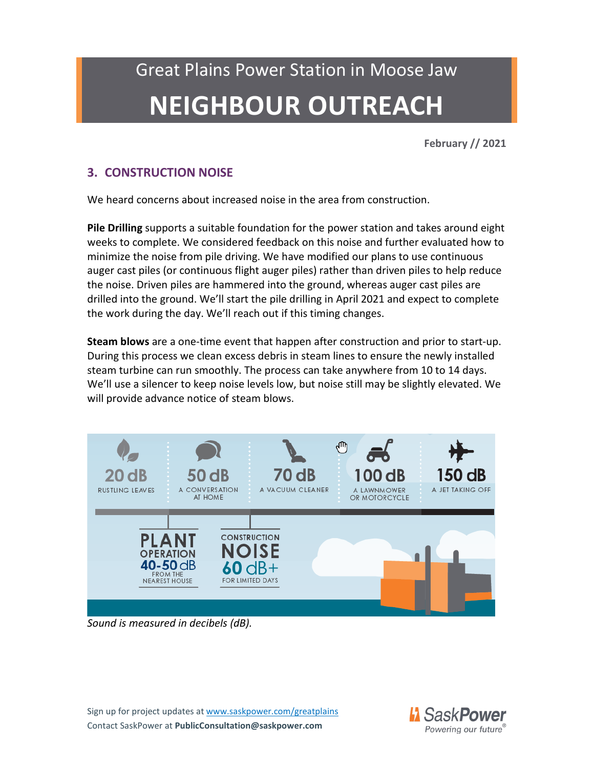**February // 2021**

### **3. CONSTRUCTION NOISE**

We heard concerns about increased noise in the area from construction.

**Pile Drilling** supports a suitable foundation for the power station and takes around eight weeks to complete. We considered feedback on this noise and further evaluated how to minimize the noise from pile driving. We have modified our plans to use continuous auger cast piles (or continuous flight auger piles) rather than driven piles to help reduce the noise. Driven piles are hammered into the ground, whereas auger cast piles are drilled into the ground. We'll start the pile drilling in April 2021 and expect to complete the work during the day. We'll reach out if this timing changes.

**Steam blows** are a one-time event that happen after construction and prior to start-up. During this process we clean excess debris in steam lines to ensure the newly installed steam turbine can run smoothly. The process can take anywhere from 10 to 14 days. We'll use a silencer to keep noise levels low, but noise still may be slightly elevated. We will provide advance notice of steam blows.



*Sound is measured in decibels (dB).*

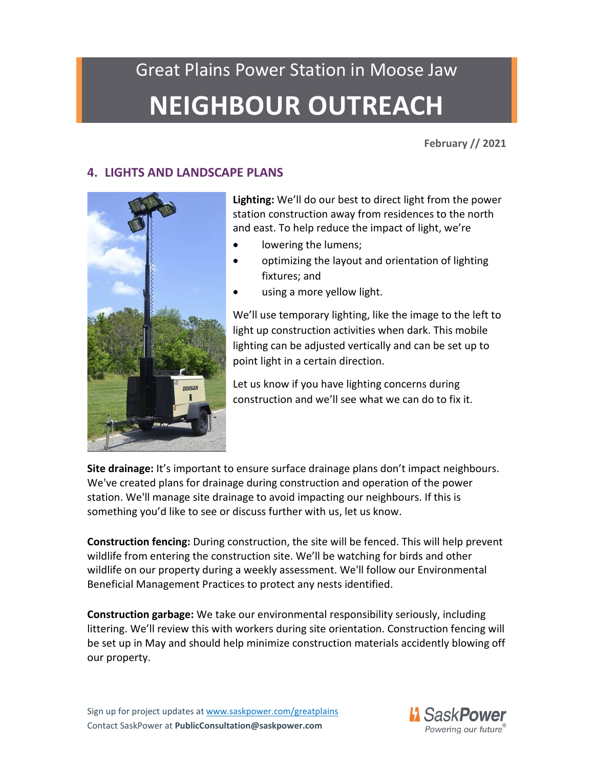# Great Plains Power Station in Moose Jaw

## **NEIGHBOUR OUTREACH**

**February // 2021**

### **4. LIGHTS AND LANDSCAPE PLANS**



**Lighting:** We'll do our best to direct light from the power station construction away from residences to the north and east. To help reduce the impact of light, we're

- lowering the lumens;
- optimizing the layout and orientation of lighting fixtures; and
- using a more yellow light.

We'll use temporary lighting, like the image to the left to light up construction activities when dark. This mobile lighting can be adjusted vertically and can be set up to point light in a certain direction.

Let us know if you have lighting concerns during construction and we'll see what we can do to fix it.

**Site drainage:** It's important to ensure surface drainage plans don't impact neighbours. We've created plans for drainage during construction and operation of the power station. We'll manage site drainage to avoid impacting our neighbours. If this is something you'd like to see or discuss further with us, let us know.

**Construction fencing:** During construction, the site will be fenced. This will help prevent wildlife from entering the construction site. We'll be watching for birds and other wildlife on our property during a weekly assessment. We'll follow our Environmental Beneficial Management Practices to protect any nests identified.

**Construction garbage:** We take our environmental responsibility seriously, including littering. We'll review this with workers during site orientation. Construction fencing will be set up in May and should help minimize construction materials accidently blowing off our property.

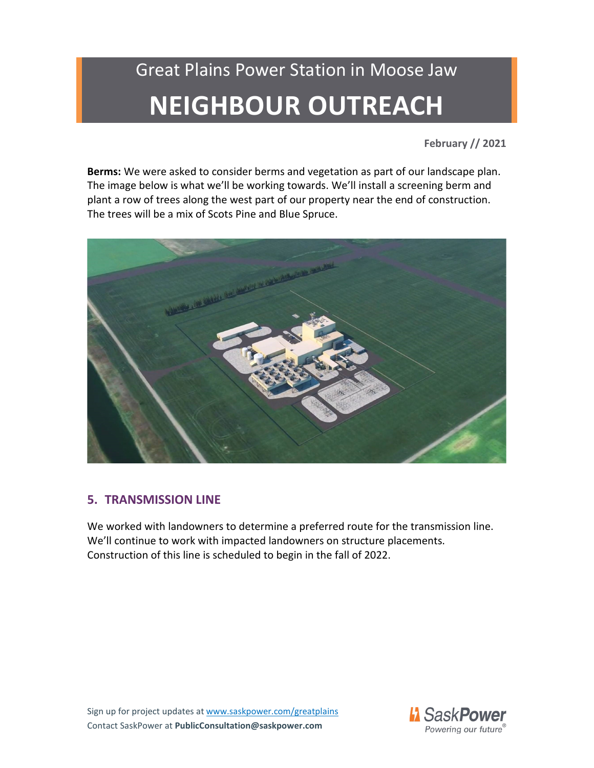**February // 2021**

**Berms:** We were asked to consider berms and vegetation as part of our landscape plan. The image below is what we'll be working towards. We'll install a screening berm and plant a row of trees along the west part of our property near the end of construction. The trees will be a mix of Scots Pine and Blue Spruce.



### **5. TRANSMISSION LINE**

We worked with landowners to determine a preferred route for the transmission line. We'll continue to work with impacted landowners on structure placements. Construction of this line is scheduled to begin in the fall of 2022.